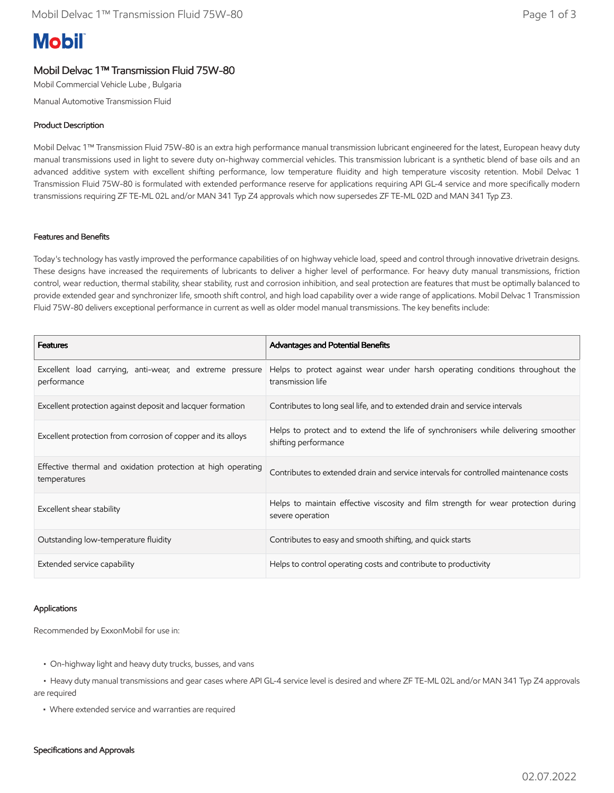# **Mobil**

# Mobil Delvac 1™ Transmission Fluid 75W-80

Mobil Commercial Vehicle Lube , Bulgaria

Manual Automotive Transmission Fluid

## Product Description

Mobil Delvac 1™ Transmission Fluid 75W-80 is an extra high performance manual transmission lubricant engineered for the latest, European heavy duty manual transmissions used in light to severe duty on-highway commercial vehicles. This transmission lubricant is a synthetic blend of base oils and an advanced additive system with excellent shifting performance, low temperature fluidity and high temperature viscosity retention. Mobil Delvac 1 Transmission Fluid 75W-80 is formulated with extended performance reserve for applications requiring API GL-4 service and more specifically modern transmissions requiring ZF TE-ML 02L and/or MAN 341 Typ Z4 approvals which now supersedes ZF TE-ML 02D and MAN 341 Typ Z3.

### Features and Benefits

Today's technology has vastly improved the performance capabilities of on highway vehicle load, speed and control through innovative drivetrain designs. These designs have increased the requirements of lubricants to deliver a higher level of performance. For heavy duty manual transmissions, friction control, wear reduction, thermal stability, shear stability, rust and corrosion inhibition, and seal protection are features that must be optimally balanced to provide extended gear and synchronizer life, smooth shift control, and high load capability over a wide range of applications. Mobil Delvac 1 Transmission Fluid 75W-80 delivers exceptional performance in current as well as older model manual transmissions. The key benefits include:

| <b>Features</b>                                                              | Advantages and Potential Benefits                                                                          |
|------------------------------------------------------------------------------|------------------------------------------------------------------------------------------------------------|
| Excellent load carrying, anti-wear, and extreme pressure<br>performance      | Helps to protect against wear under harsh operating conditions throughout the<br>transmission life         |
| Excellent protection against deposit and lacquer formation                   | Contributes to long seal life, and to extended drain and service intervals                                 |
| Excellent protection from corrosion of copper and its alloys                 | Helps to protect and to extend the life of synchronisers while delivering smoother<br>shifting performance |
| Effective thermal and oxidation protection at high operating<br>temperatures | Contributes to extended drain and service intervals for controlled maintenance costs                       |
| Excellent shear stability                                                    | Helps to maintain effective viscosity and film strength for wear protection during<br>severe operation     |
| Outstanding low-temperature fluidity                                         | Contributes to easy and smooth shifting, and quick starts                                                  |
| Extended service capability                                                  | Helps to control operating costs and contribute to productivity                                            |

### Applications

Recommended by ExxonMobil for use in:

- On-highway light and heavy duty trucks, busses, and vans
- • Heavy duty manual transmissions and gear cases where API GL-4 service level is desired and where ZF TE-ML 02L and/or MAN 341 Typ Z4 approvals are required
	- Where extended service and warranties are required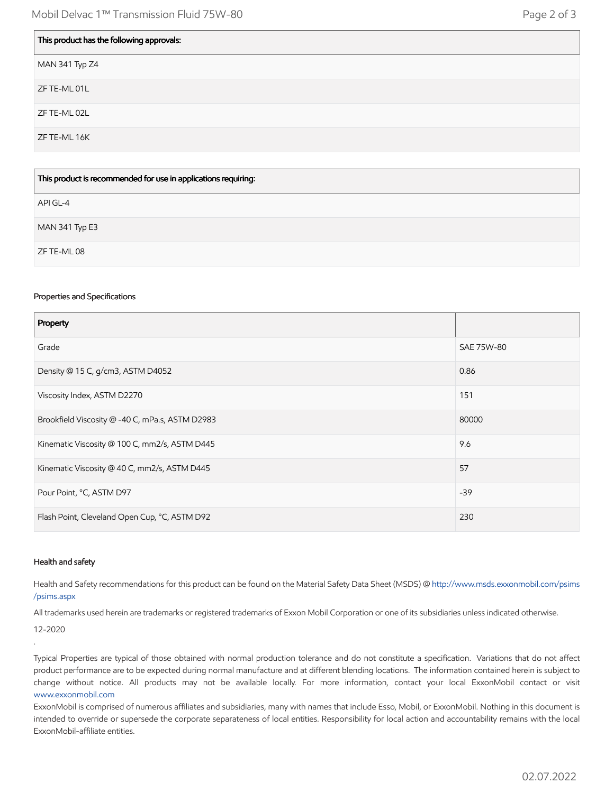| This product has the following approvals: |
|-------------------------------------------|
| MAN 341 Typ Z4                            |
| ZF TE-ML 01L                              |
| ZF TE-ML 02L                              |
| ZF TE-ML 16K                              |
|                                           |

| This product is recommended for use in applications requiring: |
|----------------------------------------------------------------|
| API GL-4                                                       |
| MAN 341 Typ E3                                                 |
| ZF TE-ML 08                                                    |

#### Properties and Specifications

Г

| Property                                        |            |
|-------------------------------------------------|------------|
| Grade                                           | SAE 75W-80 |
| Density @ 15 C, g/cm3, ASTM D4052               | 0.86       |
| Viscosity Index, ASTM D2270                     | 151        |
| Brookfield Viscosity @ -40 C, mPa.s, ASTM D2983 | 80000      |
| Kinematic Viscosity @ 100 C, mm2/s, ASTM D445   | 9.6        |
| Kinematic Viscosity @ 40 C, mm2/s, ASTM D445    | 57         |
| Pour Point, °C, ASTM D97                        | $-39$      |
| Flash Point, Cleveland Open Cup, °C, ASTM D92   | 230        |

#### Health and safety

Health and Safety recommendations for this product can be found on the Material Safety Data Sheet (MSDS) @ [http://www.msds.exxonmobil.com/psims](http://www.msds.exxonmobil.com/psims/psims.aspx) /psims.aspx

All trademarks used herein are trademarks or registered trademarks of Exxon Mobil Corporation or one of its subsidiaries unless indicated otherwise.

12-2020

.

Typical Properties are typical of those obtained with normal production tolerance and do not constitute a specification. Variations that do not affect product performance are to be expected during normal manufacture and at different blending locations. The information contained herein is subject to change without notice. All products may not be available locally. For more information, contact your local ExxonMobil contact or visit [www.exxonmobil.com](http://www.exxonmobil.com/)

ExxonMobil is comprised of numerous affiliates and subsidiaries, many with names that include Esso, Mobil, or ExxonMobil. Nothing in this document is intended to override or supersede the corporate separateness of local entities. Responsibility for local action and accountability remains with the local ExxonMobil-affiliate entities.